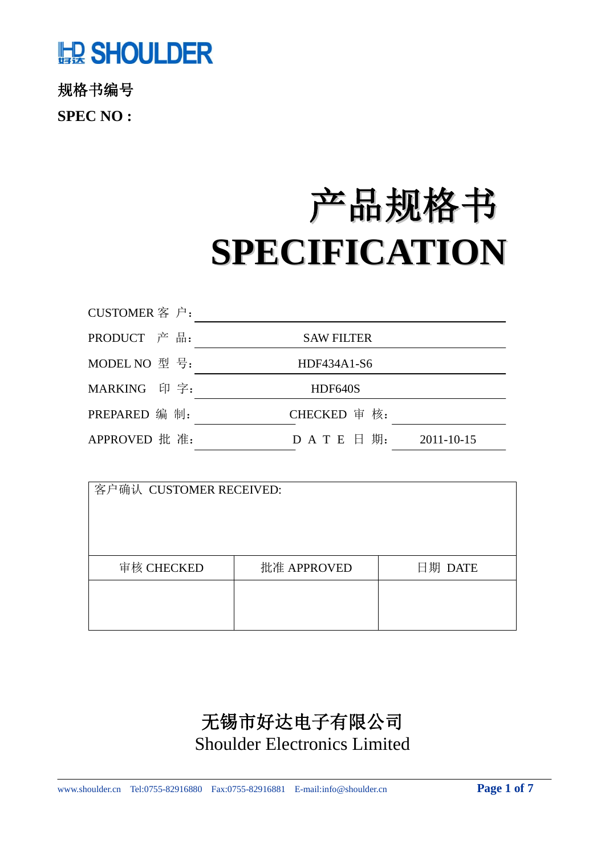# **嘘 SHOULDER**

规格书编号 **SPEC NO :**

# 产品规格书 **SPECIFICATION**

| CUSTOMER 客 户: |                                |  |  |  |  |
|---------------|--------------------------------|--|--|--|--|
| PRODUCT 产品:   | <b>SAW FILTER</b>              |  |  |  |  |
| MODEL NO 型号:  | HDF434A1-S6                    |  |  |  |  |
| MARKING 印字:   | HDF640S                        |  |  |  |  |
| PREPARED 编 制: | CHECKED 审核:                    |  |  |  |  |
| APPROVED 批 准: | $D$ A T E $H$ 期:<br>2011-10-15 |  |  |  |  |

| 客户确认 CUSTOMER RECEIVED: |             |         |  |  |  |  |  |  |  |
|-------------------------|-------------|---------|--|--|--|--|--|--|--|
| 审核 CHECKED              | 批准 APPROVED | 日期 DATE |  |  |  |  |  |  |  |
|                         |             |         |  |  |  |  |  |  |  |

# 无锡市好达电子有限公司 Shoulder Electronics Limited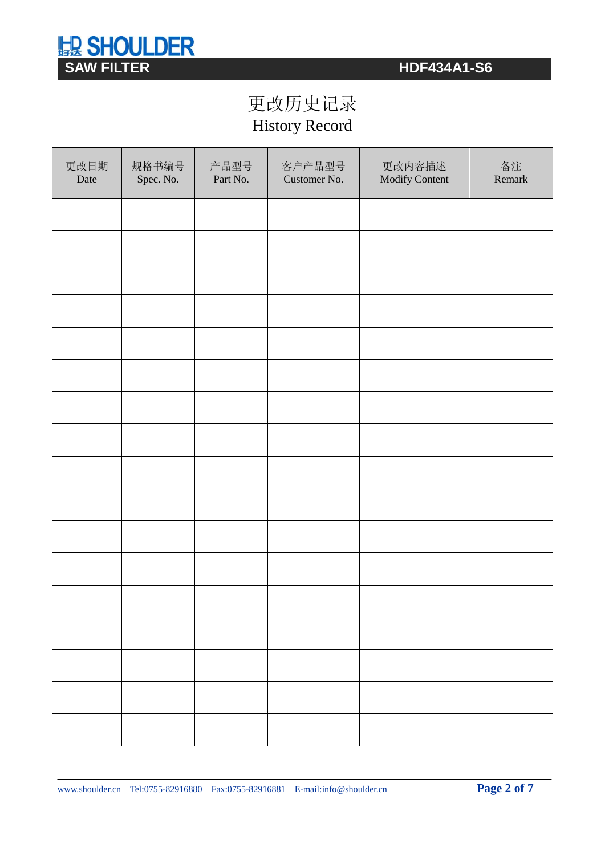# **SHOULDER**<br>
SAW FILTER<br>
SAW FILTER

# 更改历史记录 History Record

| 更改日期<br>Date | 规格书编号<br>Spec. No. | 产品型号<br>Part No. | 客户产品型号<br>Customer No. | 更改内容描述<br>Modify Content | 备注<br>Remark |  |
|--------------|--------------------|------------------|------------------------|--------------------------|--------------|--|
|              |                    |                  |                        |                          |              |  |
|              |                    |                  |                        |                          |              |  |
|              |                    |                  |                        |                          |              |  |
|              |                    |                  |                        |                          |              |  |
|              |                    |                  |                        |                          |              |  |
|              |                    |                  |                        |                          |              |  |
|              |                    |                  |                        |                          |              |  |
|              |                    |                  |                        |                          |              |  |
|              |                    |                  |                        |                          |              |  |
|              |                    |                  |                        |                          |              |  |
|              |                    |                  |                        |                          |              |  |
|              |                    |                  |                        |                          |              |  |
|              |                    |                  |                        |                          |              |  |
|              |                    |                  |                        |                          |              |  |
|              |                    |                  |                        |                          |              |  |
|              |                    |                  |                        |                          |              |  |
|              |                    |                  |                        |                          |              |  |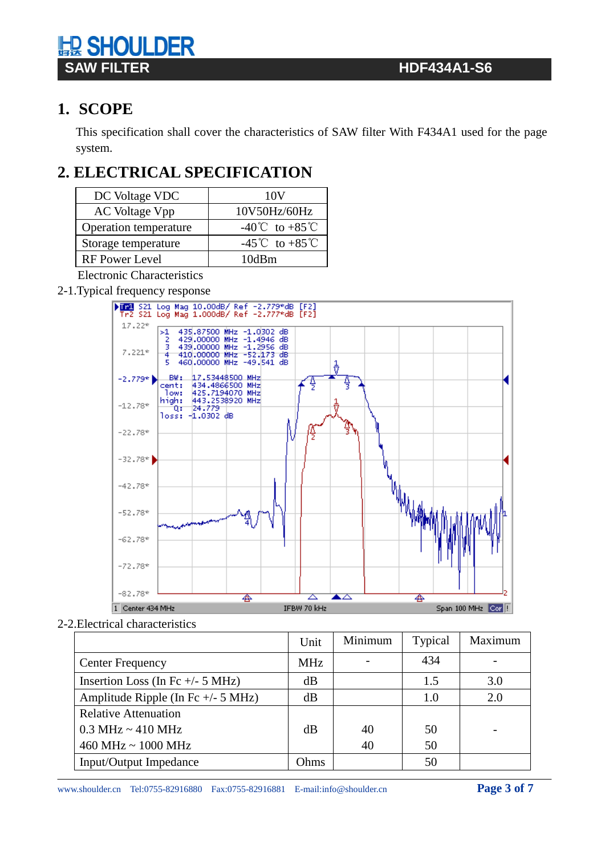# **Ⅰ SHOULDER SAW FILTER HDF434A1-S6**

# **1. SCOPE**

This specification shall cover the characteristics of SAW filter With F434A1 used for the page system.

# **2. ELECTRICAL SPECIFICATION**

| DC Voltage VDC        | 10V                                |  |  |  |  |
|-----------------------|------------------------------------|--|--|--|--|
| AC Voltage Vpp        | 10V50Hz/60Hz                       |  |  |  |  |
| Operation temperature | $-40^{\circ}$ C to $+85^{\circ}$ C |  |  |  |  |
| Storage temperature   | -45°C to +85°C                     |  |  |  |  |
| <b>RF</b> Power Level | 10dBm                              |  |  |  |  |

Electronic Characteristics

2-1.Typical frequency response



2-2.Electrical characteristics

|                                        | Unit       | Minimum | Typical | Maximum |
|----------------------------------------|------------|---------|---------|---------|
| <b>Center Frequency</b>                | <b>MHz</b> |         | 434     |         |
| Insertion Loss (In Fc $+/- 5$ MHz)     | dB         |         | 1.5     | 3.0     |
| Amplitude Ripple (In Fc $+/- 5$ MHz)   | dB         |         | 1.0     | 2.0     |
| <b>Relative Attenuation</b>            |            |         |         |         |
| $0.3 \text{ MHz} \sim 410 \text{ MHz}$ | dB         | 40      | 50      |         |
| $460$ MHz ~ $1000$ MHz                 |            | 40      | 50      |         |
| Input/Output Impedance                 | Ohms       |         | 50      |         |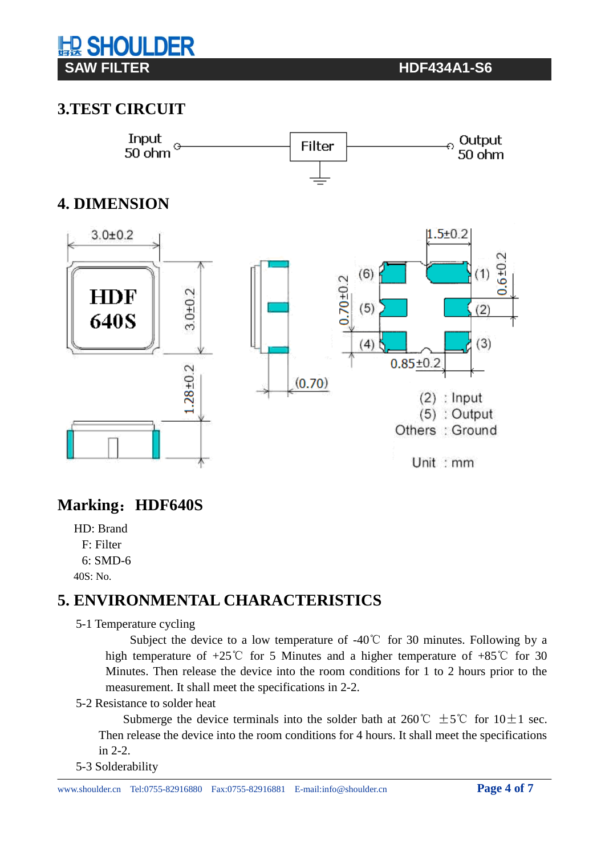# **Ⅰ SHOULDER SAW FILTER THE RESIDENT CONSUMING THE RESIDENCE OF A SET OF A SET OF A SET OF A SET OF A SET OF A SET OF A SET OF A SET OF A SET OF A SET OF A SET OF A SET OF A SET OF A SET OF A SET OF A SET OF A SET OF A SET OF A SET OF**

## **3.TEST CIRCUIT**



## **Marking**:**HDF640S**

HD: Brand F: Filter

6: SMD-6

# 40S: No.

## **5. ENVIRONMENTAL CHARACTERISTICS**

5-1 Temperature cycling

Subject the device to a low temperature of -40℃ for 30 minutes. Following by a high temperature of  $+25^{\circ}$  for 5 Minutes and a higher temperature of  $+85^{\circ}$  for 30 Minutes. Then release the device into the room conditions for 1 to 2 hours prior to the measurement. It shall meet the specifications in 2-2.

#### 5-2 Resistance to solder heat

Submerge the device terminals into the solder bath at 260°C  $\pm$  5°C for 10 $\pm$ 1 sec. Then release the device into the room conditions for 4 hours. It shall meet the specifications in 2-2.

#### 5-3 Solderability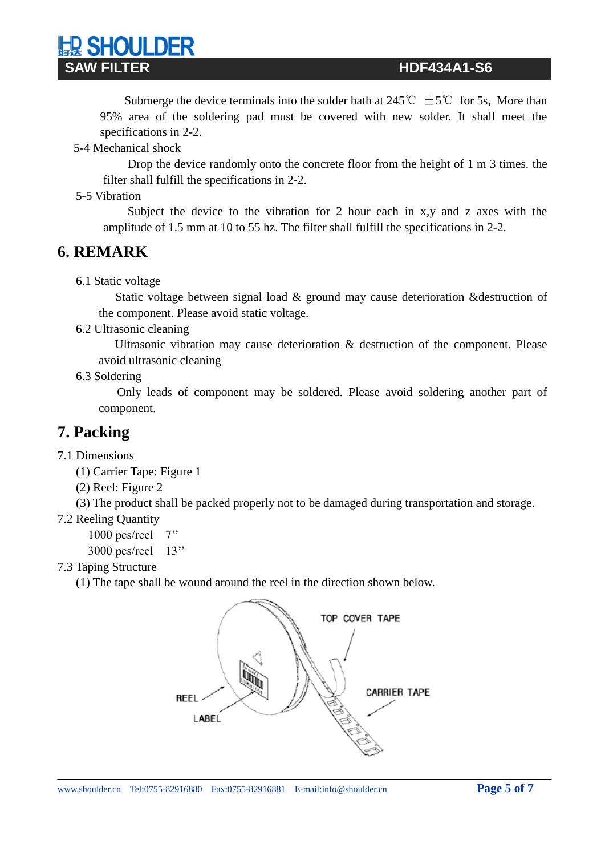Submerge the device terminals into the solder bath at 245°C  $\pm$  5°C for 5s, More than 95% area of the soldering pad must be covered with new solder. It shall meet the specifications in 2-2.

5-4 Mechanical shock

**D SHOULDER** 

 Drop the device randomly onto the concrete floor from the height of 1 m 3 times. the filter shall fulfill the specifications in 2-2.

5-5 Vibration

 Subject the device to the vibration for 2 hour each in x,y and z axes with the amplitude of 1.5 mm at 10 to 55 hz. The filter shall fulfill the specifications in 2-2.

### **6. REMARK**

6.1 Static voltage

 Static voltage between signal load & ground may cause deterioration &destruction of the component. Please avoid static voltage.

6.2 Ultrasonic cleaning

 Ultrasonic vibration may cause deterioration & destruction of the component. Please avoid ultrasonic cleaning

6.3 Soldering

 Only leads of component may be soldered. Please avoid soldering another part of component.

### **7. Packing**

- 7.1 Dimensions
	- (1) Carrier Tape: Figure 1
	- (2) Reel: Figure 2

(3) The product shall be packed properly not to be damaged during transportation and storage.

- 7.2 Reeling Quantity
	- 1000 pcs/reel 7''
	- 3000 pcs/reel 13''
- 7.3 Taping Structure
	- (1) The tape shall be wound around the reel in the direction shown below.

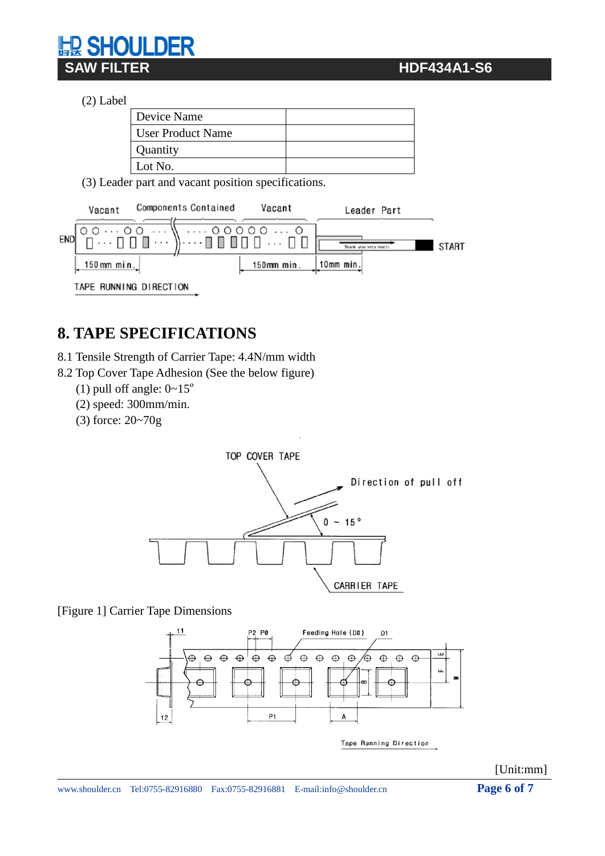### **SAW FILTER HDF434A1-S6**

**HOULDER** 

| $(2)$ Label |                          |  |
|-------------|--------------------------|--|
|             | Device Name              |  |
|             | <b>User Product Name</b> |  |
|             | Quantity                 |  |
|             | Lot No.                  |  |

(3) Leader part and vacant position specifications.



# **8. TAPE SPECIFICATIONS**

8.1 Tensile Strength of Carrier Tape: 4.4N/mm width

8.2 Top Cover Tape Adhesion (See the below figure)

- (1) pull off angle:  $0 \sim 15^{\circ}$
- (2) speed: 300mm/min.
- (3) force: 20~70g



[Figure 1] Carrier Tape Dimensions



Tape Running Direction